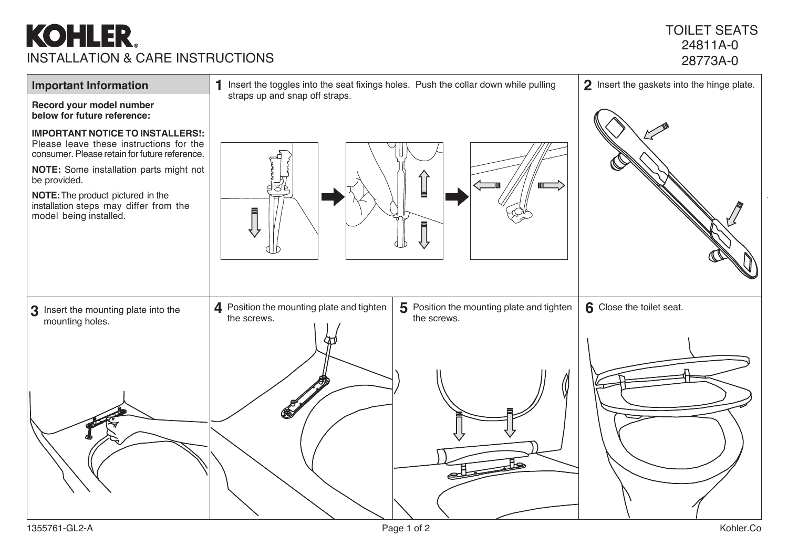## **KOHLER** INSTALLATION & CARE INSTRUCTIONS

## TOILET SEATS 24811A-0 28773A-0